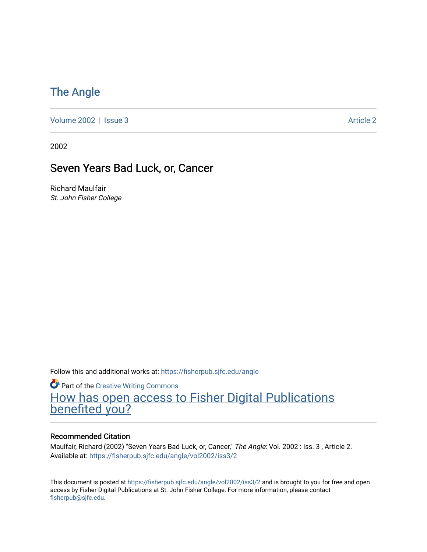## [The Angle](https://fisherpub.sjfc.edu/angle)

[Volume 2002](https://fisherpub.sjfc.edu/angle/vol2002) | [Issue 3](https://fisherpub.sjfc.edu/angle/vol2002/iss3) Article 2

2002

### Seven Years Bad Luck, or, Cancer

Richard Maulfair St. John Fisher College

Follow this and additional works at: [https://fisherpub.sjfc.edu/angle](https://fisherpub.sjfc.edu/angle?utm_source=fisherpub.sjfc.edu%2Fangle%2Fvol2002%2Fiss3%2F2&utm_medium=PDF&utm_campaign=PDFCoverPages)

**Part of the Creative Writing Commons** [How has open access to Fisher Digital Publications](https://docs.google.com/forms/d/14zrnDfH9d1wcdq8oG_-gFabAsxfcH5claltx85ZWyTg/viewform?entry.1394608989=https://fisherpub.sjfc.edu/angle/vol2002/iss3/2%3Chttps://docs.google.com/forms/d/14zrnDfH9d1wcdq8oG_-gFabAsxfcH5claltx85ZWyTg/viewform?entry.1394608989=%7bhttps://fisherpub.sjfc.edu/angle/vol2002/iss3/2%7d) [benefited you?](https://docs.google.com/forms/d/14zrnDfH9d1wcdq8oG_-gFabAsxfcH5claltx85ZWyTg/viewform?entry.1394608989=https://fisherpub.sjfc.edu/angle/vol2002/iss3/2%3Chttps://docs.google.com/forms/d/14zrnDfH9d1wcdq8oG_-gFabAsxfcH5claltx85ZWyTg/viewform?entry.1394608989=%7bhttps://fisherpub.sjfc.edu/angle/vol2002/iss3/2%7d)

#### Recommended Citation

Maulfair, Richard (2002) "Seven Years Bad Luck, or, Cancer," The Angle: Vol. 2002 : Iss. 3, Article 2. Available at: [https://fisherpub.sjfc.edu/angle/vol2002/iss3/2](https://fisherpub.sjfc.edu/angle/vol2002/iss3/2?utm_source=fisherpub.sjfc.edu%2Fangle%2Fvol2002%2Fiss3%2F2&utm_medium=PDF&utm_campaign=PDFCoverPages)

This document is posted at <https://fisherpub.sjfc.edu/angle/vol2002/iss3/2> and is brought to you for free and open access by Fisher Digital Publications at St. John Fisher College. For more information, please contact [fisherpub@sjfc.edu](mailto:fisherpub@sjfc.edu).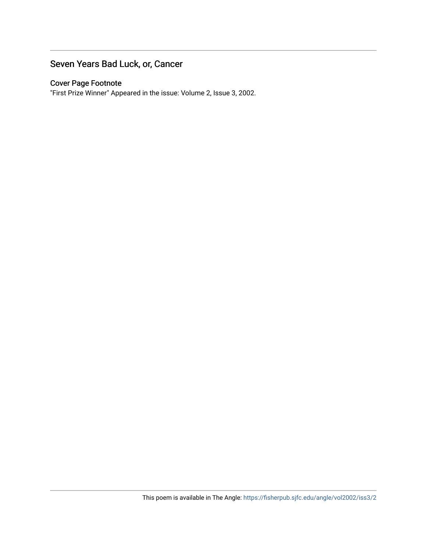#### Seven Years Bad Luck, or, Cancer

#### Cover Page Footnote

"First Prize Winner" Appeared in the issue: Volume 2, Issue 3, 2002.